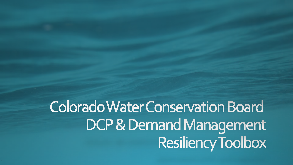Colorado Water Conservation Board DCP & Demand Management Resiliency Toolbox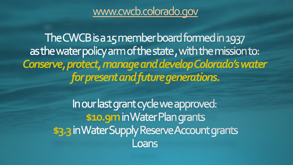### [www.cwcb.colorado.gov](http://www.cwcb.colorado.gov/)

The CWCB is a 15 member board formed in 1937 as the water policy arm of the state, with the mission to: *Conserve, protect, manage and develop Colorado's water for present and future generations.*

> In our last grant cycle we approved: **\$10.9m** in Water Plan grants **\$3.3** in Water Supply Reserve Account grants Loans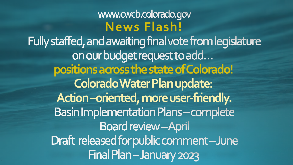www.cwcb.colorado.gov **News Flash!** Fully staffed, and awaiting final vote from legislature on our budget request to add... **positions across the state of Colorado! Colorado Water Plan update: Action –oriented, more user-friendly.Basin Implementation Plans-complete Board review-April** Draft released for public comment-June Final Plan-January 2023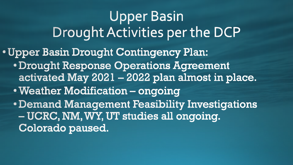Upper Basin Drought Activities per the DCP • Upper Basin Drought Contingency Plan: • Drought Response Operations Agreement activated May 2021 - 2022 plan almost in place. . Weather Modification - ongoing • Demand Management Feasibility Investigations – UCRC, NM, WY, UT studies all ongoing. Colorado paused.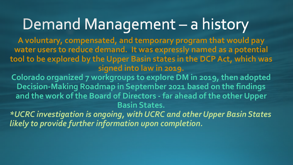### Demand Management - a history

**A voluntary, compensated, and temporary program that would pay water users to reduce demand. It was expressly named as a potential tool to be explored by the Upper Basin states in the DCP Act, which was signed into law in 2019.**

**Colorado organized 7 workgroups to explore DM in 2019, then adopted Decision-Making Roadmap in September 2021 based on the findings and the work of the Board of Directors - far ahead of the other Upper Basin States.** 

*\*UCRC investigation is ongoing, with UCRC and other Upper Basin States likely to provide further information upon completion.*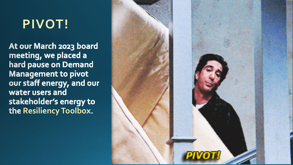### **PIVOT!**

At our March 2023 board meeting, we placed a hard pause on Demand **Management to pivot** our staff energy, and our water users and stakeholder's energy to the Resiliency Toolbox.

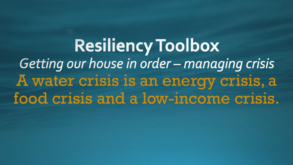**Resiliency Toolbox** Getting our house in order - managing crisis A water crisis is an energy crisis, a food crisis and a low-income crisis.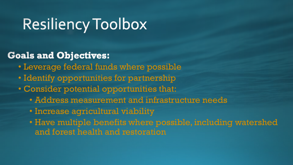## Resiliency Toolbox

#### **Goals and Objectives:**

- Leverage federal funds where possible
- Identify opportunities for partnership
- Consider potential opportunities that:
	- Address measurement and infrastructure needs
	- Increase agricultural viability
	- Have multiple benefits where possible, including watershed and forest health and restoration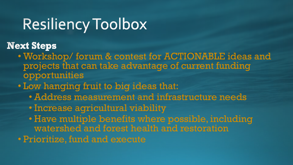### Resiliency Toolbox

**Next Steps** 

- Workshop/ forum & contest for ACTIONABLE ideas and projects that can take advantage of current funding opportunities
- Low hanging fruit to big ideas that:
	- Address measurement and infrastructure needs
	- Increase agricultural viability
	- Have multiple benefits where possible, including watershed and forest health and restoration
- Prioritize, fund and execute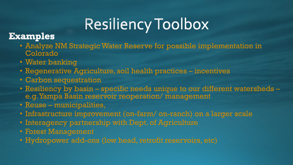# Resiliency Toolbox

#### **Examples**

- Analyze NM Strategic Water Reserve for possible implementation in Colorado
- Water banking
- Regenerative Agriculture, soil health practices incentives
- Carbon sequestration
- Resiliency by basin specific needs unique to our different watersheds e.g.Yampa Basin reservoir reoperation/ management
- Reuse municipalities,
- Infrastructure improvement (on-farm/ on-ranch) on a larger scale
- Interagency partnership with Dept. of Agriculture
- Forest Management
- Hydropower add-ons (low head, retrofit reservoirs, etc)